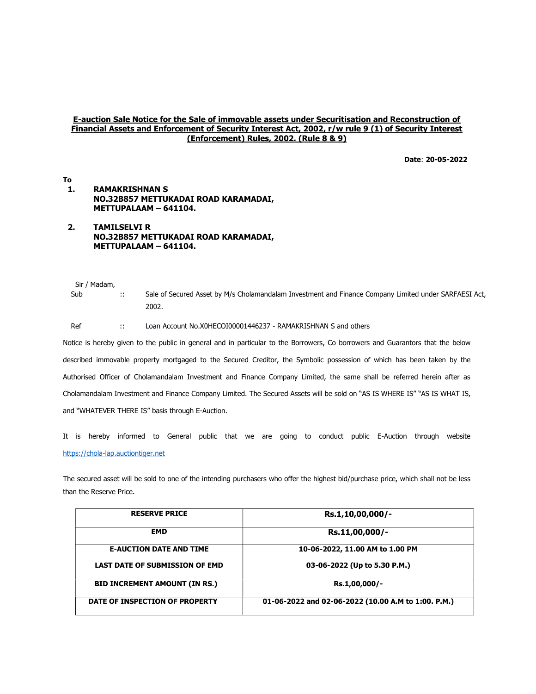## E-auction Sale Notice for the Sale of immovable assets under Securitisation and Reconstruction of Financial Assets and Enforcement of Security Interest Act, 2002, r/w rule 9 (1) of Security Interest (Enforcement) Rules, 2002. (Rule 8 & 9)

Date: 20-05-2022

## To 1. RAMAKRISHNAN S NO.32B857 METTUKADAI ROAD KARAMADAI, METTUPALAAM – 641104.

2. TAMILSELVI R NO.32B857 METTUKADAI ROAD KARAMADAI, METTUPALAAM – 641104.

Sir / Madam,

Sub :: Sale of Secured Asset by M/s Cholamandalam Investment and Finance Company Limited under SARFAESI Act, 2002.

Ref :: Loan Account No.X0HECOI00001446237 - RAMAKRISHNAN S and others

Notice is hereby given to the public in general and in particular to the Borrowers, Co borrowers and Guarantors that the below described immovable property mortgaged to the Secured Creditor, the Symbolic possession of which has been taken by the Authorised Officer of Cholamandalam Investment and Finance Company Limited, the same shall be referred herein after as Cholamandalam Investment and Finance Company Limited. The Secured Assets will be sold on "AS IS WHERE IS" "AS IS WHAT IS, and "WHATEVER THERE IS" basis through E-Auction.

It is hereby informed to General public that we are going to conduct public E-Auction through website https://chola-lap.auctiontiger.net

The secured asset will be sold to one of the intending purchasers who offer the highest bid/purchase price, which shall not be less than the Reserve Price.

| <b>RESERVE PRICE</b>                  | Rs.1,10,00,000/-                                    |
|---------------------------------------|-----------------------------------------------------|
| <b>EMD</b>                            | Rs.11,00,000/-                                      |
| <b>E-AUCTION DATE AND TIME</b>        | 10-06-2022, 11.00 AM to 1.00 PM                     |
| <b>LAST DATE OF SUBMISSION OF EMD</b> | 03-06-2022 (Up to 5.30 P.M.)                        |
| <b>BID INCREMENT AMOUNT (IN RS.)</b>  | Rs.1,00,000/-                                       |
| DATE OF INSPECTION OF PROPERTY        | 01-06-2022 and 02-06-2022 (10.00 A.M to 1:00. P.M.) |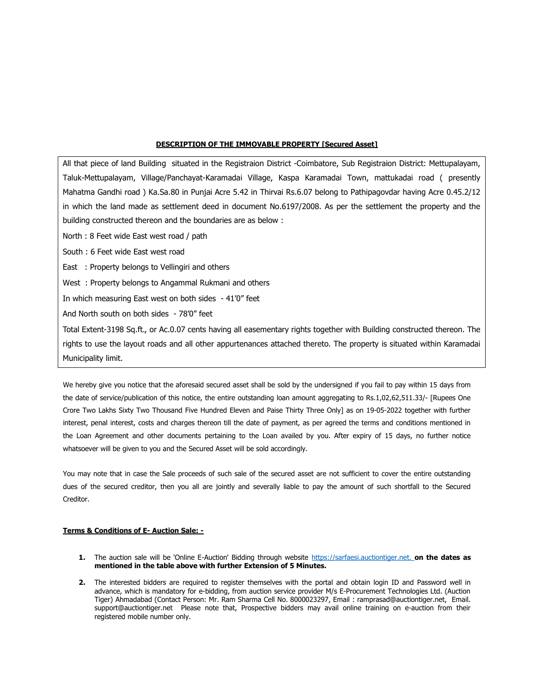## DESCRIPTION OF THE IMMOVABLE PROPERTY [Secured Asset]

All that piece of land Building situated in the Registraion District -Coimbatore, Sub Registraion District: Mettupalayam, Taluk-Mettupalayam, Village/Panchayat-Karamadai Village, Kaspa Karamadai Town, mattukadai road ( presently Mahatma Gandhi road ) Ka.Sa.80 in Punjai Acre 5.42 in Thirvai Rs.6.07 belong to Pathipagovdar having Acre 0.45.2/12 in which the land made as settlement deed in document No.6197/2008. As per the settlement the property and the building constructed thereon and the boundaries are as below :

North : 8 Feet wide East west road / path

South : 6 Feet wide East west road

East : Property belongs to Vellingiri and others

West : Property belongs to Angammal Rukmani and others

In which measuring East west on both sides - 41'0" feet

And North south on both sides - 78'0" feet

Total Extent-3198 Sq.ft., or Ac.0.07 cents having all easementary rights together with Building constructed thereon. The rights to use the layout roads and all other appurtenances attached thereto. The property is situated within Karamadai Municipality limit.

We hereby give you notice that the aforesaid secured asset shall be sold by the undersigned if you fail to pay within 15 days from the date of service/publication of this notice, the entire outstanding loan amount aggregating to Rs.1,02,62,511.33/- [Rupees One Crore Two Lakhs Sixty Two Thousand Five Hundred Eleven and Paise Thirty Three Only] as on 19-05-2022 together with further interest, penal interest, costs and charges thereon till the date of payment, as per agreed the terms and conditions mentioned in the Loan Agreement and other documents pertaining to the Loan availed by you. After expiry of 15 days, no further notice whatsoever will be given to you and the Secured Asset will be sold accordingly.

You may note that in case the Sale proceeds of such sale of the secured asset are not sufficient to cover the entire outstanding dues of the secured creditor, then you all are jointly and severally liable to pay the amount of such shortfall to the Secured Creditor.

## Terms & Conditions of E- Auction Sale: -

- 1. The auction sale will be 'Online E-Auction' Bidding through website https://sarfaesi.auctiontiger.net. on the dates as mentioned in the table above with further Extension of 5 Minutes.
- 2. The interested bidders are required to register themselves with the portal and obtain login ID and Password well in advance, which is mandatory for e-bidding, from auction service provider M/s E-Procurement Technologies Ltd. (Auction Tiger) Ahmadabad (Contact Person: Mr. Ram Sharma Cell No. 8000023297, Email : ramprasad@auctiontiger.net, Email. support@auctiontiger.net Please note that, Prospective bidders may avail online training on e-auction from their registered mobile number only.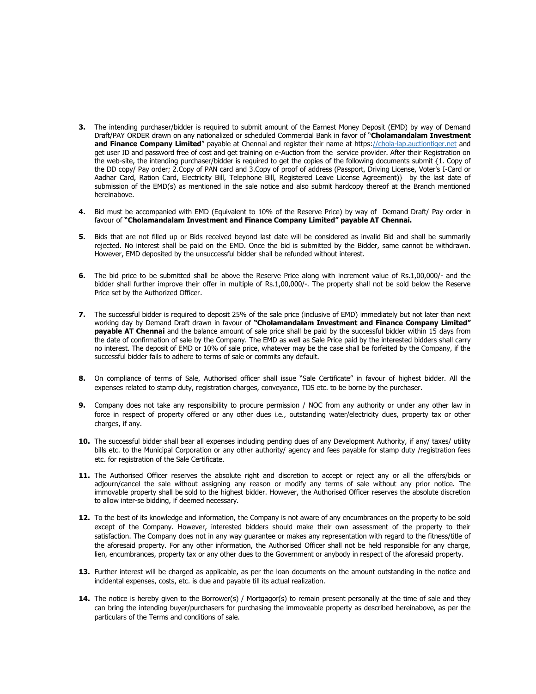- **3.** The intending purchaser/bidder is required to submit amount of the Earnest Money Deposit (EMD) by way of Demand Draft/PAY ORDER drawn on any nationalized or scheduled Commercial Bank in favor of "Cholamandalam Investment and Finance Company Limited" payable at Chennai and register their name at https://chola-lap.auctiontiger.net and get user ID and password free of cost and get training on e-Auction from the service provider. After their Registration on the web-site, the intending purchaser/bidder is required to get the copies of the following documents submit {1. Copy of the DD copy/ Pay order; 2.Copy of PAN card and 3.Copy of proof of address (Passport, Driving License, Voter's I-Card or Aadhar Card, Ration Card, Electricity Bill, Telephone Bill, Registered Leave License Agreement)} by the last date of submission of the EMD(s) as mentioned in the sale notice and also submit hardcopy thereof at the Branch mentioned hereinabove.
- 4. Bid must be accompanied with EMD (Equivalent to 10% of the Reserve Price) by way of Demand Draft/ Pay order in favour of "Cholamandalam Investment and Finance Company Limited" payable AT Chennai.
- 5. Bids that are not filled up or Bids received beyond last date will be considered as invalid Bid and shall be summarily rejected. No interest shall be paid on the EMD. Once the bid is submitted by the Bidder, same cannot be withdrawn. However, EMD deposited by the unsuccessful bidder shall be refunded without interest.
- 6. The bid price to be submitted shall be above the Reserve Price along with increment value of Rs.1,00,000/- and the bidder shall further improve their offer in multiple of Rs.1,00,000/-. The property shall not be sold below the Reserve Price set by the Authorized Officer.
- 7. The successful bidder is required to deposit 25% of the sale price (inclusive of EMD) immediately but not later than next working day by Demand Draft drawn in favour of "Cholamandalam Investment and Finance Company Limited" **payable AT Chennai** and the balance amount of sale price shall be paid by the successful bidder within 15 days from the date of confirmation of sale by the Company. The EMD as well as Sale Price paid by the interested bidders shall carry no interest. The deposit of EMD or 10% of sale price, whatever may be the case shall be forfeited by the Company, if the successful bidder fails to adhere to terms of sale or commits any default.
- 8. On compliance of terms of Sale, Authorised officer shall issue "Sale Certificate" in favour of highest bidder. All the expenses related to stamp duty, registration charges, conveyance, TDS etc. to be borne by the purchaser.
- 9. Company does not take any responsibility to procure permission / NOC from any authority or under any other law in force in respect of property offered or any other dues i.e., outstanding water/electricity dues, property tax or other charges, if any.
- 10. The successful bidder shall bear all expenses including pending dues of any Development Authority, if any/ taxes/ utility bills etc. to the Municipal Corporation or any other authority/ agency and fees payable for stamp duty /registration fees etc. for registration of the Sale Certificate.
- 11. The Authorised Officer reserves the absolute right and discretion to accept or reject any or all the offers/bids or adjourn/cancel the sale without assigning any reason or modify any terms of sale without any prior notice. The immovable property shall be sold to the highest bidder. However, the Authorised Officer reserves the absolute discretion to allow inter-se bidding, if deemed necessary.
- 12. To the best of its knowledge and information, the Company is not aware of any encumbrances on the property to be sold except of the Company. However, interested bidders should make their own assessment of the property to their satisfaction. The Company does not in any way guarantee or makes any representation with regard to the fitness/title of the aforesaid property. For any other information, the Authorised Officer shall not be held responsible for any charge, lien, encumbrances, property tax or any other dues to the Government or anybody in respect of the aforesaid property.
- 13. Further interest will be charged as applicable, as per the loan documents on the amount outstanding in the notice and incidental expenses, costs, etc. is due and payable till its actual realization.
- 14. The notice is hereby given to the Borrower(s) / Mortgagor(s) to remain present personally at the time of sale and they can bring the intending buyer/purchasers for purchasing the immoveable property as described hereinabove, as per the particulars of the Terms and conditions of sale.